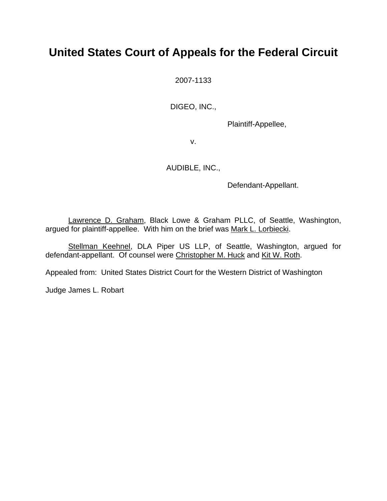# **United States Court of Appeals for the Federal Circuit**

2007-1133

DIGEO, INC.,

Plaintiff-Appellee,

v.

AUDIBLE, INC.,

Defendant-Appellant.

Lawrence D. Graham, Black Lowe & Graham PLLC, of Seattle, Washington, argued for plaintiff-appellee. With him on the brief was Mark L. Lorbiecki.

Stellman Keehnel, DLA Piper US LLP, of Seattle, Washington, argued for defendant-appellant. Of counsel were Christopher M. Huck and Kit W. Roth.

Appealed from: United States District Court for the Western District of Washington

Judge James L. Robart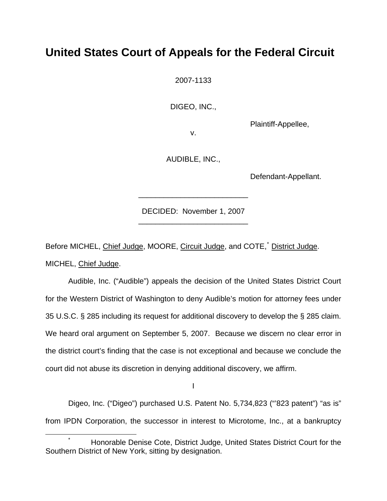## **United States Court of Appeals for the Federal Circuit**

2007-1133

DIGEO, INC.,

Plaintiff-Appellee,

v.

AUDIBLE, INC.,

Defendant-Appellant.

DECIDED: November 1, 2007 \_\_\_\_\_\_\_\_\_\_\_\_\_\_\_\_\_\_\_\_\_\_\_\_\_\_

\_\_\_\_\_\_\_\_\_\_\_\_\_\_\_\_\_\_\_\_\_\_\_\_\_\_

Before MICHEL, Chief Judge, MOORE, Circuit Judge, and COTE,<sup>[\\*](#page-1-0)</sup> District Judge. MICHEL, Chief Judge.

Audible, Inc. ("Audible") appeals the decision of the United States District Court for the Western District of Washington to deny Audible's motion for attorney fees under 35 U.S.C. § 285 including its request for additional discovery to develop the § 285 claim. We heard oral argument on September 5, 2007. Because we discern no clear error in the district court's finding that the case is not exceptional and because we conclude the court did not abuse its discretion in denying additional discovery, we affirm.

I

Digeo, Inc. ("Digeo") purchased U.S. Patent No. 5,734,823 ("'823 patent") "as is" from IPDN Corporation, the successor in interest to Microtome, Inc., at a bankruptcy

<span id="page-1-0"></span> $\overline{\phantom{a}}$  Honorable Denise Cote, District Judge, United States District Court for the Southern District of New York, sitting by designation.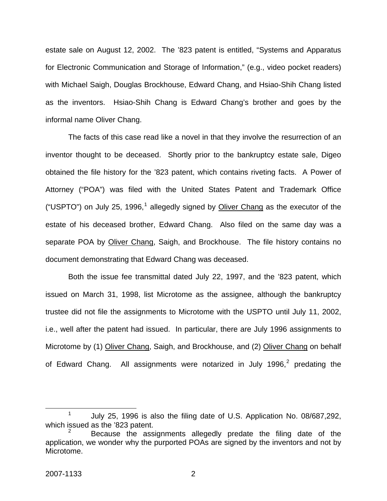estate sale on August 12, 2002. The '823 patent is entitled, "Systems and Apparatus for Electronic Communication and Storage of Information," (e.g., video pocket readers) with Michael Saigh, Douglas Brockhouse, Edward Chang, and Hsiao-Shih Chang listed as the inventors. Hsiao-Shih Chang is Edward Chang's brother and goes by the informal name Oliver Chang.

 The facts of this case read like a novel in that they involve the resurrection of an inventor thought to be deceased. Shortly prior to the bankruptcy estate sale, Digeo obtained the file history for the '823 patent, which contains riveting facts. A Power of Attorney ("POA") was filed with the United States Patent and Trademark Office ("USPTO") on July 25, [1](#page-2-0)996,<sup>1</sup> allegedly signed by **Oliver Chang** as the executor of the estate of his deceased brother, Edward Chang. Also filed on the same day was a separate POA by Oliver Chang, Saigh, and Brockhouse. The file history contains no document demonstrating that Edward Chang was deceased.

Both the issue fee transmittal dated July 22, 1997, and the '823 patent, which issued on March 31, 1998, list Microtome as the assignee, although the bankruptcy trustee did not file the assignments to Microtome with the USPTO until July 11, 2002, i.e., well after the patent had issued. In particular, there are July 1996 assignments to Microtome by (1) Oliver Chang, Saigh, and Brockhouse, and (2) Oliver Chang on behalf of Edward Chang. All assignments were notarized in July 1996, $^2$  $^2$  predating the

<span id="page-2-0"></span> <sup>1</sup> July 25, 1996 is also the filing date of U.S. Application No. 08/687,292, which issued as the '823 patent.

<span id="page-2-1"></span><sup>2</sup> Because the assignments allegedly predate the filing date of the application, we wonder why the purported POAs are signed by the inventors and not by Microtome.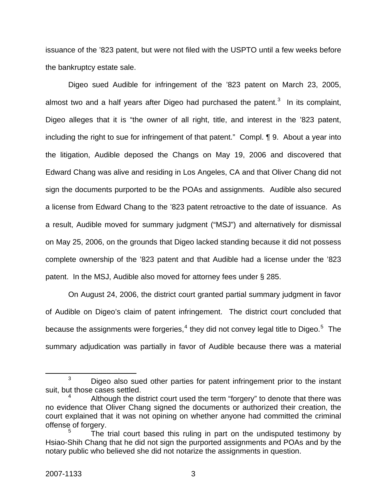issuance of the '823 patent, but were not filed with the USPTO until a few weeks before the bankruptcy estate sale.

 Digeo sued Audible for infringement of the '823 patent on March 23, 2005, almost two and a half years after Digeo had purchased the patent.<sup>[3](#page-3-0)</sup> In its complaint, Digeo alleges that it is "the owner of all right, title, and interest in the '823 patent, including the right to sue for infringement of that patent." Compl. ¶ 9. About a year into the litigation, Audible deposed the Changs on May 19, 2006 and discovered that Edward Chang was alive and residing in Los Angeles, CA and that Oliver Chang did not sign the documents purported to be the POAs and assignments. Audible also secured a license from Edward Chang to the '823 patent retroactive to the date of issuance. As a result, Audible moved for summary judgment ("MSJ") and alternatively for dismissal on May 25, 2006, on the grounds that Digeo lacked standing because it did not possess complete ownership of the '823 patent and that Audible had a license under the '823 patent. In the MSJ, Audible also moved for attorney fees under § 285.

On August 24, 2006, the district court granted partial summary judgment in favor of Audible on Digeo's claim of patent infringement. The district court concluded that because the assignments were forgeries,<sup>[4](#page-3-1)</sup> they did not convey legal title to Digeo.<sup>[5](#page-3-2)</sup> The summary adjudication was partially in favor of Audible because there was a material

<span id="page-3-0"></span> $\frac{1}{3}$  $3$  Digeo also sued other parties for patent infringement prior to the instant suit, but those cases settled.

<span id="page-3-1"></span><sup>4</sup> Although the district court used the term "forgery" to denote that there was no evidence that Oliver Chang signed the documents or authorized their creation, the court explained that it was not opining on whether anyone had committed the criminal offense of forgery.

<span id="page-3-2"></span><sup>5</sup> The trial court based this ruling in part on the undisputed testimony by Hsiao-Shih Chang that he did not sign the purported assignments and POAs and by the notary public who believed she did not notarize the assignments in question.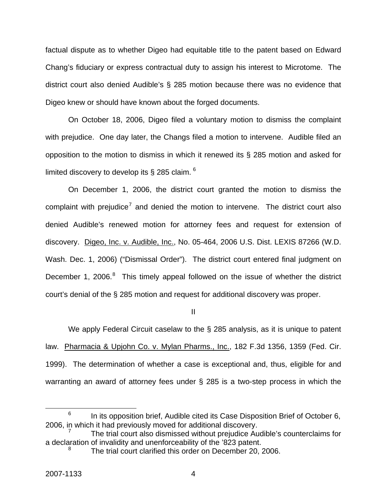factual dispute as to whether Digeo had equitable title to the patent based on Edward Chang's fiduciary or express contractual duty to assign his interest to Microtome. The district court also denied Audible's § 285 motion because there was no evidence that Digeo knew or should have known about the forged documents.

On October 18, 2006, Digeo filed a voluntary motion to dismiss the complaint with prejudice. One day later, the Changs filed a motion to intervene. Audible filed an opposition to the motion to dismiss in which it renewed its § 285 motion and asked for limited discovery to develop its § 285 claim.  $6$ 

On December 1, 2006, the district court granted the motion to dismiss the complaint with prejudice<sup>[7](#page-4-1)</sup> and denied the motion to intervene. The district court also denied Audible's renewed motion for attorney fees and request for extension of discovery. Digeo, Inc. v. Audible, Inc., No. 05-464, 2006 U.S. Dist. LEXIS 87266 (W.D. Wash. Dec. 1, 2006) ("Dismissal Order"). The district court entered final judgment on December 1, 2006. $8$  This timely appeal followed on the issue of whether the district court's denial of the § 285 motion and request for additional discovery was proper.

II

We apply Federal Circuit caselaw to the § 285 analysis, as it is unique to patent law. Pharmacia & Upjohn Co. v. Mylan Pharms., Inc., 182 F.3d 1356, 1359 (Fed. Cir. 1999). The determination of whether a case is exceptional and, thus, eligible for and warranting an award of attorney fees under § 285 is a two-step process in which the

<span id="page-4-0"></span> <sup>6</sup>  $6$  In its opposition brief, Audible cited its Case Disposition Brief of October 6, 2006, in which it had previously moved for additional discovery.

<span id="page-4-2"></span><span id="page-4-1"></span><sup>7</sup> The trial court also dismissed without prejudice Audible's counterclaims for a declaration of invalidity and unenforceability of the '823 patent. 8

The trial court clarified this order on December 20, 2006.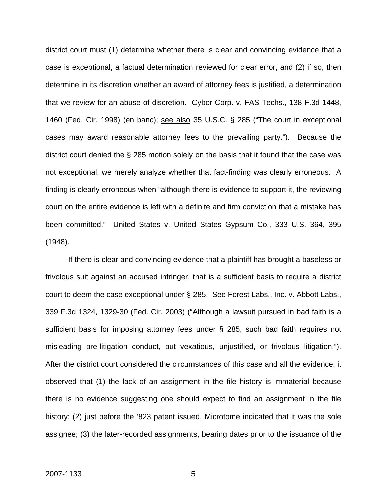district court must (1) determine whether there is clear and convincing evidence that a case is exceptional, a factual determination reviewed for clear error, and (2) if so, then determine in its discretion whether an award of attorney fees is justified, a determination that we review for an abuse of discretion. Cybor Corp. v. FAS Techs., 138 F.3d 1448, 1460 (Fed. Cir. 1998) (en banc); see also 35 U.S.C. § 285 ("The court in exceptional cases may award reasonable attorney fees to the prevailing party."). Because the district court denied the § 285 motion solely on the basis that it found that the case was not exceptional, we merely analyze whether that fact-finding was clearly erroneous. A finding is clearly erroneous when "although there is evidence to support it, the reviewing court on the entire evidence is left with a definite and firm conviction that a mistake has been committed." United States v. United States Gypsum Co., 333 U.S. 364, 395 (1948).

If there is clear and convincing evidence that a plaintiff has brought a baseless or frivolous suit against an accused infringer, that is a sufficient basis to require a district court to deem the case exceptional under § 285. See Forest Labs., Inc. v. Abbott Labs., 339 F.3d 1324, 1329-30 (Fed. Cir. 2003) ("Although a lawsuit pursued in bad faith is a sufficient basis for imposing attorney fees under § 285, such bad faith requires not misleading pre-litigation conduct, but vexatious, unjustified, or frivolous litigation."). After the district court considered the circumstances of this case and all the evidence, it observed that (1) the lack of an assignment in the file history is immaterial because there is no evidence suggesting one should expect to find an assignment in the file history; (2) just before the '823 patent issued, Microtome indicated that it was the sole assignee; (3) the later-recorded assignments, bearing dates prior to the issuance of the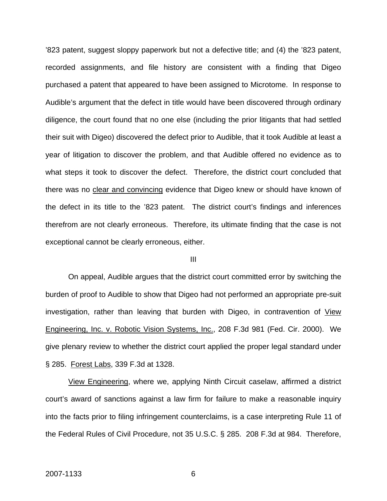'823 patent, suggest sloppy paperwork but not a defective title; and (4) the '823 patent, recorded assignments, and file history are consistent with a finding that Digeo purchased a patent that appeared to have been assigned to Microtome. In response to Audible's argument that the defect in title would have been discovered through ordinary diligence, the court found that no one else (including the prior litigants that had settled their suit with Digeo) discovered the defect prior to Audible, that it took Audible at least a year of litigation to discover the problem, and that Audible offered no evidence as to what steps it took to discover the defect. Therefore, the district court concluded that there was no clear and convincing evidence that Digeo knew or should have known of the defect in its title to the '823 patent. The district court's findings and inferences therefrom are not clearly erroneous. Therefore, its ultimate finding that the case is not exceptional cannot be clearly erroneous, either.

### III

On appeal, Audible argues that the district court committed error by switching the burden of proof to Audible to show that Digeo had not performed an appropriate pre-suit investigation, rather than leaving that burden with Digeo, in contravention of View Engineering, Inc. v. Robotic Vision Systems, Inc., 208 F.3d 981 (Fed. Cir. 2000). We give plenary review to whether the district court applied the proper legal standard under § 285. Forest Labs, 339 F.3d at 1328.

View Engineering, where we, applying Ninth Circuit caselaw, affirmed a district court's award of sanctions against a law firm for failure to make a reasonable inquiry into the facts prior to filing infringement counterclaims, is a case interpreting Rule 11 of the Federal Rules of Civil Procedure, not 35 U.S.C. § 285. 208 F.3d at 984. Therefore,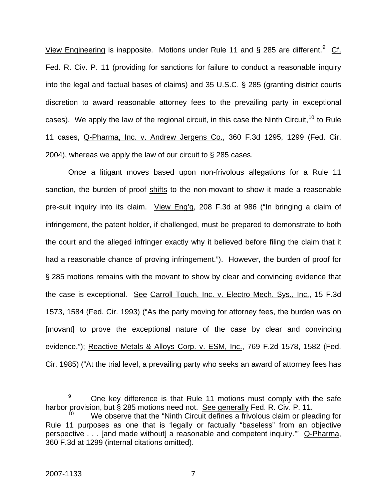View Engineering is inapposite. Motions under Rule 11 and § 285 are different.<sup>[9](#page-7-0)</sup> Cf. Fed. R. Civ. P. 11 (providing for sanctions for failure to conduct a reasonable inquiry into the legal and factual bases of claims) and 35 U.S.C. § 285 (granting district courts discretion to award reasonable attorney fees to the prevailing party in exceptional cases). We apply the law of the regional circuit, in this case the Ninth Circuit,  $10$  to Rule 11 cases, Q-Pharma, Inc. v. Andrew Jergens Co., 360 F.3d 1295, 1299 (Fed. Cir. 2004), whereas we apply the law of our circuit to § 285 cases.

Once a litigant moves based upon non-frivolous allegations for a Rule 11 sanction, the burden of proof shifts to the non-movant to show it made a reasonable pre-suit inquiry into its claim. View Eng'g, 208 F.3d at 986 ("In bringing a claim of infringement, the patent holder, if challenged, must be prepared to demonstrate to both the court and the alleged infringer exactly why it believed before filing the claim that it had a reasonable chance of proving infringement."). However, the burden of proof for § 285 motions remains with the movant to show by clear and convincing evidence that the case is exceptional. See Carroll Touch, Inc. v. Electro Mech. Sys., Inc., 15 F.3d 1573, 1584 (Fed. Cir. 1993) ("As the party moving for attorney fees, the burden was on [movant] to prove the exceptional nature of the case by clear and convincing evidence."); Reactive Metals & Alloys Corp. v. ESM, Inc., 769 F.2d 1578, 1582 (Fed. Cir. 1985) ("At the trial level, a prevailing party who seeks an award of attorney fees has

<span id="page-7-0"></span> <sup>9</sup>  $9$  One key difference is that Rule 11 motions must comply with the safe harbor provision, but § 285 motions need not. See generally Fed. R. Civ. P. 11.

<span id="page-7-1"></span>We observe that the "Ninth Circuit defines a frivolous claim or pleading for Rule 11 purposes as one that is 'legally or factually "baseless" from an objective perspective . . . [and made without] a reasonable and competent inquiry.'" Q-Pharma, 360 F.3d at 1299 (internal citations omitted).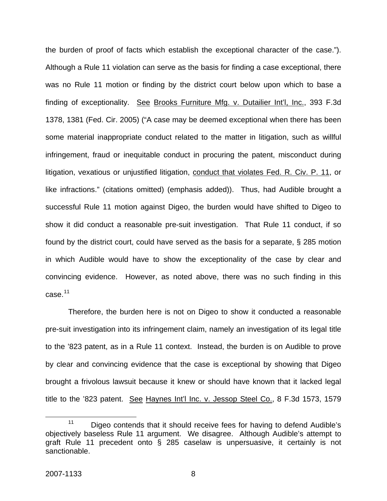the burden of proof of facts which establish the exceptional character of the case."). Although a Rule 11 violation can serve as the basis for finding a case exceptional, there was no Rule 11 motion or finding by the district court below upon which to base a finding of exceptionality. See Brooks Furniture Mfg. v. Dutailier Int'l, Inc., 393 F.3d 1378, 1381 (Fed. Cir. 2005) ("A case may be deemed exceptional when there has been some material inappropriate conduct related to the matter in litigation, such as willful infringement, fraud or inequitable conduct in procuring the patent, misconduct during litigation, vexatious or unjustified litigation, conduct that violates Fed. R. Civ. P. 11, or like infractions." (citations omitted) (emphasis added)). Thus, had Audible brought a successful Rule 11 motion against Digeo, the burden would have shifted to Digeo to show it did conduct a reasonable pre-suit investigation. That Rule 11 conduct, if so found by the district court, could have served as the basis for a separate, § 285 motion in which Audible would have to show the exceptionality of the case by clear and convincing evidence. However, as noted above, there was no such finding in this  $case<sup>11</sup>$  $case<sup>11</sup>$  $case<sup>11</sup>$ 

Therefore, the burden here is not on Digeo to show it conducted a reasonable pre-suit investigation into its infringement claim, namely an investigation of its legal title to the '823 patent, as in a Rule 11 context. Instead, the burden is on Audible to prove by clear and convincing evidence that the case is exceptional by showing that Digeo brought a frivolous lawsuit because it knew or should have known that it lacked legal title to the '823 patent. See Haynes Int'l Inc. v. Jessop Steel Co., 8 F.3d 1573, 1579

<span id="page-8-0"></span><sup>&</sup>lt;sup>11</sup> Digeo contends that it should receive fees for having to defend Audible's objectively baseless Rule 11 argument. We disagree. Although Audible's attempt to graft Rule 11 precedent onto § 285 caselaw is unpersuasive, it certainly is not sanctionable.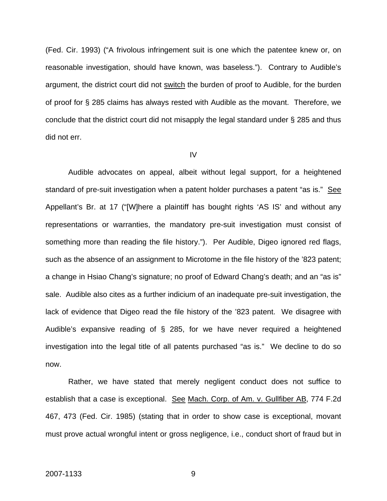(Fed. Cir. 1993) ("A frivolous infringement suit is one which the patentee knew or, on reasonable investigation, should have known, was baseless."). Contrary to Audible's argument, the district court did not switch the burden of proof to Audible, for the burden of proof for § 285 claims has always rested with Audible as the movant. Therefore, we conclude that the district court did not misapply the legal standard under § 285 and thus did not err.

#### IV

Audible advocates on appeal, albeit without legal support, for a heightened standard of pre-suit investigation when a patent holder purchases a patent "as is." See Appellant's Br. at 17 ("[W]here a plaintiff has bought rights 'AS IS' and without any representations or warranties, the mandatory pre-suit investigation must consist of something more than reading the file history."). Per Audible, Digeo ignored red flags, such as the absence of an assignment to Microtome in the file history of the '823 patent; a change in Hsiao Chang's signature; no proof of Edward Chang's death; and an "as is" sale. Audible also cites as a further indicium of an inadequate pre-suit investigation, the lack of evidence that Digeo read the file history of the '823 patent. We disagree with Audible's expansive reading of § 285, for we have never required a heightened investigation into the legal title of all patents purchased "as is." We decline to do so now.

Rather, we have stated that merely negligent conduct does not suffice to establish that a case is exceptional. See Mach. Corp. of Am. v. Gullfiber AB, 774 F.2d 467, 473 (Fed. Cir. 1985) (stating that in order to show case is exceptional, movant must prove actual wrongful intent or gross negligence, i.e., conduct short of fraud but in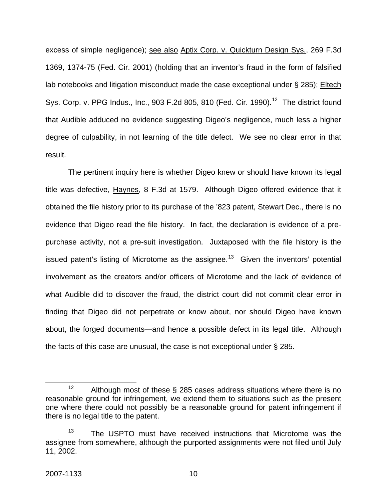excess of simple negligence); see also Aptix Corp. v. Quickturn Design Sys., 269 F.3d 1369, 1374-75 (Fed. Cir. 2001) (holding that an inventor's fraud in the form of falsified lab notebooks and litigation misconduct made the case exceptional under § 285); Eltech Sys. Corp. v. PPG Indus., Inc., 903 F.2d 805, 810 (Fed. Cir. 1990).<sup>[12](#page-10-0)</sup> The district found that Audible adduced no evidence suggesting Digeo's negligence, much less a higher degree of culpability, in not learning of the title defect. We see no clear error in that result.

 The pertinent inquiry here is whether Digeo knew or should have known its legal title was defective, Haynes, 8 F.3d at 1579. Although Digeo offered evidence that it obtained the file history prior to its purchase of the '823 patent, Stewart Dec., there is no evidence that Digeo read the file history. In fact, the declaration is evidence of a prepurchase activity, not a pre-suit investigation. Juxtaposed with the file history is the issued patent's listing of Microtome as the assignee.<sup>[13](#page-10-1)</sup> Given the inventors' potential involvement as the creators and/or officers of Microtome and the lack of evidence of what Audible did to discover the fraud, the district court did not commit clear error in finding that Digeo did not perpetrate or know about, nor should Digeo have known about, the forged documents—and hence a possible defect in its legal title. Although the facts of this case are unusual, the case is not exceptional under § 285.

<span id="page-10-0"></span><sup>&</sup>lt;sup>12</sup> Although most of these § 285 cases address situations where there is no reasonable ground for infringement, we extend them to situations such as the present one where there could not possibly be a reasonable ground for patent infringement if there is no legal title to the patent.

<span id="page-10-1"></span> $13$  The USPTO must have received instructions that Microtome was the assignee from somewhere, although the purported assignments were not filed until July 11, 2002.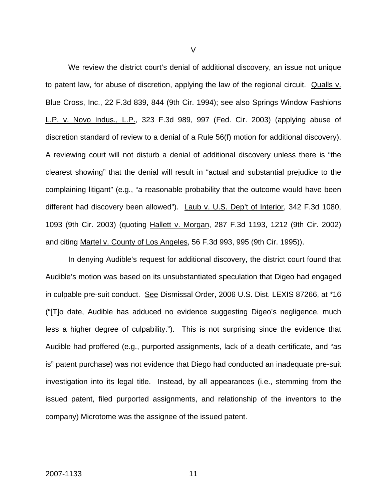We review the district court's denial of additional discovery, an issue not unique to patent law, for abuse of discretion, applying the law of the regional circuit. Qualls v. Blue Cross, Inc., 22 F.3d 839, 844 (9th Cir. 1994); see also Springs Window Fashions L.P. v. Novo Indus., L.P., 323 F.3d 989, 997 (Fed. Cir. 2003) (applying abuse of discretion standard of review to a denial of a Rule 56(f) motion for additional discovery). A reviewing court will not disturb a denial of additional discovery unless there is "the clearest showing" that the denial will result in "actual and substantial prejudice to the complaining litigant" (e.g., "a reasonable probability that the outcome would have been different had discovery been allowed"). Laub v. U.S. Dep't of Interior, 342 F.3d 1080, 1093 (9th Cir. 2003) (quoting Hallett v. Morgan, 287 F.3d 1193, 1212 (9th Cir. 2002) and citing Martel v. County of Los Angeles, 56 F.3d 993, 995 (9th Cir. 1995)).

In denying Audible's request for additional discovery, the district court found that Audible's motion was based on its unsubstantiated speculation that Digeo had engaged in culpable pre-suit conduct. See Dismissal Order, 2006 U.S. Dist. LEXIS 87266, at \*16 ("[T]o date, Audible has adduced no evidence suggesting Digeo's negligence, much less a higher degree of culpability."). This is not surprising since the evidence that Audible had proffered (e.g., purported assignments, lack of a death certificate, and "as is" patent purchase) was not evidence that Diego had conducted an inadequate pre-suit investigation into its legal title. Instead, by all appearances (i.e., stemming from the issued patent, filed purported assignments, and relationship of the inventors to the company) Microtome was the assignee of the issued patent.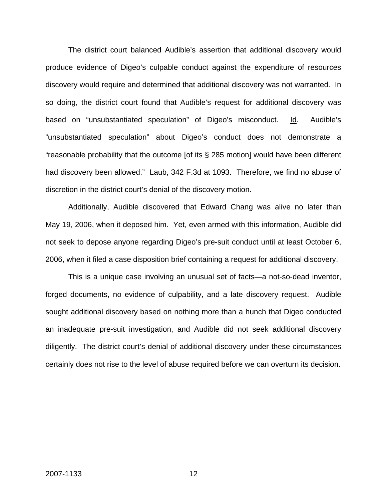The district court balanced Audible's assertion that additional discovery would produce evidence of Digeo's culpable conduct against the expenditure of resources discovery would require and determined that additional discovery was not warranted. In so doing, the district court found that Audible's request for additional discovery was based on "unsubstantiated speculation" of Digeo's misconduct. Id. Audible's "unsubstantiated speculation" about Digeo's conduct does not demonstrate a "reasonable probability that the outcome [of its § 285 motion] would have been different had discovery been allowed." Laub, 342 F.3d at 1093. Therefore, we find no abuse of discretion in the district court's denial of the discovery motion.

Additionally, Audible discovered that Edward Chang was alive no later than May 19, 2006, when it deposed him. Yet, even armed with this information, Audible did not seek to depose anyone regarding Digeo's pre-suit conduct until at least October 6, 2006, when it filed a case disposition brief containing a request for additional discovery.

This is a unique case involving an unusual set of facts—a not-so-dead inventor, forged documents, no evidence of culpability, and a late discovery request. Audible sought additional discovery based on nothing more than a hunch that Digeo conducted an inadequate pre-suit investigation, and Audible did not seek additional discovery diligently. The district court's denial of additional discovery under these circumstances certainly does not rise to the level of abuse required before we can overturn its decision.